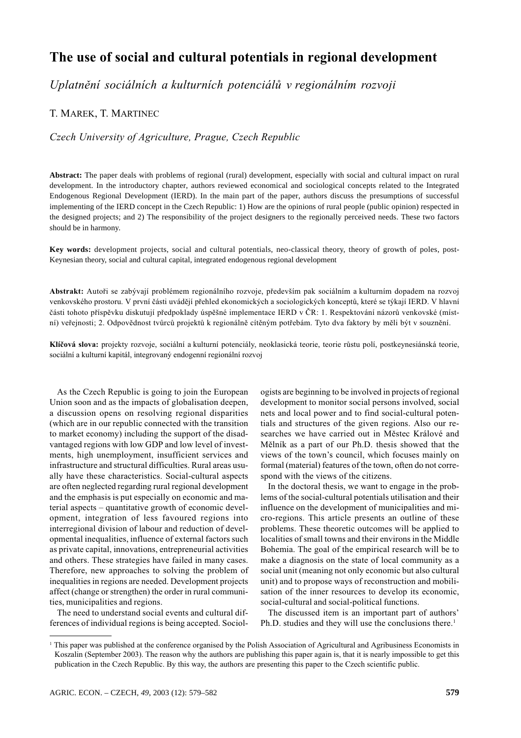# The use of social and cultural potentials in regional development

Uplatnění sociálních a kulturních potenciálů v regionálním rozvoji

T. MAREK, T. MARTINEC

## Czech University of Agriculture, Prague, Czech Republic

**Abstract:** The paper deals with problems of regional (rural) development, especially with social and cultural impact on rural development. In the introductory chapter, authors reviewed economical and sociological concepts related to the Integrated Endogenous Regional Development (IERD). In the main part of the paper, authors discuss the presumptions of successful implementing of the IERD concept in the Czech Republic: 1) How are the opinions of rural people (public opinion) respected in the designed projects; and 2) The responsibility of the project designers to the regionally perceived needs. These two factors should be in harmony.

**Key words:** development projects, social and cultural potentials, neo-classical theory, theory of growth of poles, post-Keynesian theory, social and cultural capital, integrated endogenous regional development

Abstrakt: Autoři se zabývají problémem regionálního rozvoje, především pak sociálním a kulturním dopadem na rozvoj venkovského prostoru. V první části uvádějí přehled ekonomických a sociologických konceptů, které se týkají IERD. V hlavní části tohoto příspěvku diskutují předpoklady úspěšné implementace IERD v CR: 1. Respektování názorů venkovské (místní) veřejnosti; 2. Odpovědnost tvůrců projektů k regionálně cítěným potřebám. Tyto dva faktory by měli být v souznění.

Klíčová slova: projekty rozvoje, sociální a kulturní potenciály, neoklasická teorie, teorie růstu polí, postkeynesiánská teorie, sociální a kulturní kapitál, integrovaný endogenní regionální rozvoj

As the Czech Republic is going to join the European Union soon and as the impacts of globalisation deepen, a discussion opens on resolving regional disparities (which are in our republic connected with the transition to market economy) including the support of the disadvantaged regions with low GDP and low level of investments, high unemployment, insufficient services and infrastructure and structural difficulties. Rural areas usually have these characteristics. Social-cultural aspects are often neglected regarding rural regional development and the emphasis is put especially on economic and material aspects – quantitative growth of economic development, integration of less favoured regions into interregional division of labour and reduction of developmental inequalities, influence of external factors such as private capital, innovations, entrepreneurial activities and others. These strategies have failed in many cases. Therefore, new approaches to solving the problem of inequalities in regions are needed. Development projects affect (change or strengthen) the order in rural communities, municipalities and regions.

The need to understand social events and cultural differences of individual regions is being accepted. Sociologists are beginning to be involved in projects of regional development to monitor social persons involved, social nets and local power and to find social-cultural potentials and structures of the given regions. Also our researches we have carried out in Městec Králové and Mělník as a part of our Ph.D. thesis showed that the views of the town's council, which focuses mainly on formal (material) features of the town, often do not correspond with the views of the citizens.

In the doctoral thesis, we want to engage in the problems of the social-cultural potentials utilisation and their influence on the development of municipalities and micro-regions. This article presents an outline of these problems. These theoretic outcomes will be applied to localities of small towns and their environs in the Middle Bohemia. The goal of the empirical research will be to make a diagnosis on the state of local community as a social unit (meaning not only economic but also cultural unit) and to propose ways of reconstruction and mobilisation of the inner resources to develop its economic, social-cultural and social-political functions.

The discussed item is an important part of authors' Ph.D. studies and they will use the conclusions there.<sup>1</sup>

<sup>&</sup>lt;sup>1</sup> This paper was published at the conference organised by the Polish Association of Agricultural and Agribusiness Economists in Koszalin (September 2003). The reason why the authors are publishing this paper again is, that it is nearly impossible to get this publication in the Czech Republic. By this way, the authors are presenting this paper to the Czech scientific public.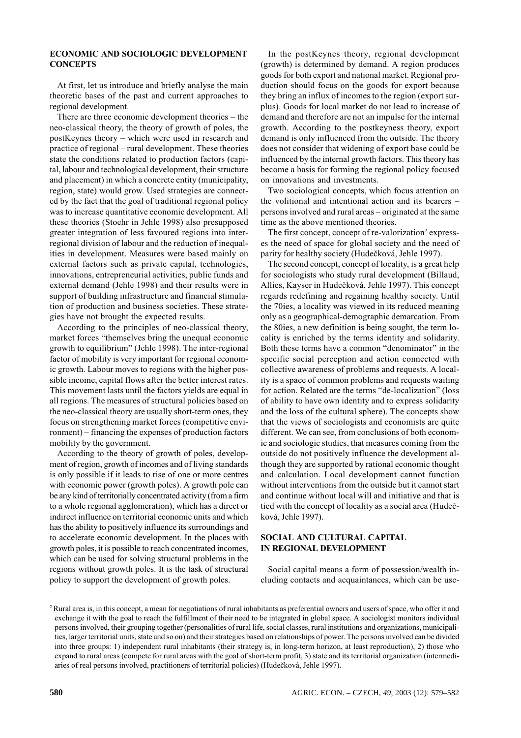#### ECONOMIC AND SOCIOLOGIC DEVELOPMENT **CONCEPTS**

At first, let us introduce and briefly analyse the main theoretic bases of the past and current approaches to regional development.

There are three economic development theories – the neo-classical theory, the theory of growth of poles, the postKeynes theory - which were used in research and practice of regional – rural development. These theories state the conditions related to production factors (capital, labour and technological development, their structure and placement) in which a concrete entity (municipality, region, state) would grow. Used strategies are connected by the fact that the goal of traditional regional policy was to increase quantitative economic development. All these theories (Stoehr in Jehle 1998) also presupposed greater integration of less favoured regions into interregional division of labour and the reduction of inequalities in development. Measures were based mainly on external factors such as private capital, technologies, innovations, entrepreneurial activities, public funds and external demand (Jehle 1998) and their results were in support of building infrastructure and financial stimulation of production and business societies. These strategies have not brought the expected results.

According to the principles of neo-classical theory, market forces "themselves bring the unequal economic growth to equilibrium" (Jehle 1998). The inter-regional factor of mobility is very important for regional economic growth. Labour moves to regions with the higher possible income, capital flows after the better interest rates. This movement lasts until the factors yields are equal in all regions. The measures of structural policies based on the neo-classical theory are usually short-term ones, they focus on strengthening market forces (competitive environment) – financing the expenses of production factors mobility by the government.

According to the theory of growth of poles, development of region, growth of incomes and of living standards is only possible if it leads to rise of one or more centres with economic power (growth poles). A growth pole can be any kind of territorially concentrated activity (from a firm to a whole regional agglomeration), which has a direct or indirect influence on territorial economic units and which has the ability to positively influence its surroundings and to accelerate economic development. In the places with growth poles, it is possible to reach concentrated incomes, which can be used for solving structural problems in the regions without growth poles. It is the task of structural policy to support the development of growth poles.

In the postKeynes theory, regional development (growth) is determined by demand. A region produces goods for both export and national market. Regional production should focus on the goods for export because they bring an influx of incomes to the region (export surplus). Goods for local market do not lead to increase of demand and therefore are not an impulse for the internal growth. According to the postkeyness theory, export demand is only influenced from the outside. The theory does not consider that widening of export base could be influenced by the internal growth factors. This theory has become a basis for forming the regional policy focused on innovations and investments.

Two sociological concepts, which focus attention on the volitional and intentional action and its bearers persons involved and rural areas – originated at the same time as the above mentioned theories.

The first concept, concept of re-valorization<sup>2</sup> expresses the need of space for global society and the need of parity for healthy society (Hudečková, Jehle 1997).

The second concept, concept of locality, is a great help for sociologists who study rural development (Billaud, Allies, Kayser in Hudečková, Jehle 1997). This concept regards redefining and regaining healthy society. Until the 70ies, a locality was viewed in its reduced meaning only as a geographical-demographic demarcation. From the 80ies, a new definition is being sought, the term locality is enriched by the terms identity and solidarity. Both these terms have a common "denominator" in the specific social perception and action connected with collective awareness of problems and requests. A locality is a space of common problems and requests waiting for action. Related are the terms "de-localization" (loss of ability to have own identity and to express solidarity and the loss of the cultural sphere). The concepts show that the views of sociologists and economists are quite different. We can see, from conclusions of both economic and sociologic studies, that measures coming from the outside do not positively influence the development although they are supported by rational economic thought and calculation. Local development cannot function without interventions from the outside but it cannot start and continue without local will and initiative and that is tied with the concept of locality as a social area (Hudečková, Jehle 1997).

#### **SOCIAL AND CULTURAL CAPITAL** IN REGIONAL DEVELOPMENT

Social capital means a form of possession/wealth including contacts and acquaintances, which can be use-

<sup>&</sup>lt;sup>2</sup> Rural area is, in this concept, a mean for negotiations of rural inhabitants as preferential owners and users of space, who offer it and exchange it with the goal to reach the fulfillment of their need to be integrated in global space. A sociologist monitors individual persons involved, their grouping together (personalities of rural life, social classes, rural institutions and organizations, municipalities, larger territorial units, state and so on) and their strategies based on relationships of power. The persons involved can be divided into three groups: 1) independent rural inhabitants (their strategy is, in long-term horizon, at least reproduction), 2) those who expand to rural areas (compete for rural areas with the goal of short-term profit, 3) state and its territorial organization (intermediaries of real persons involved, practitioners of territorial policies) (Hudečková, Jehle 1997).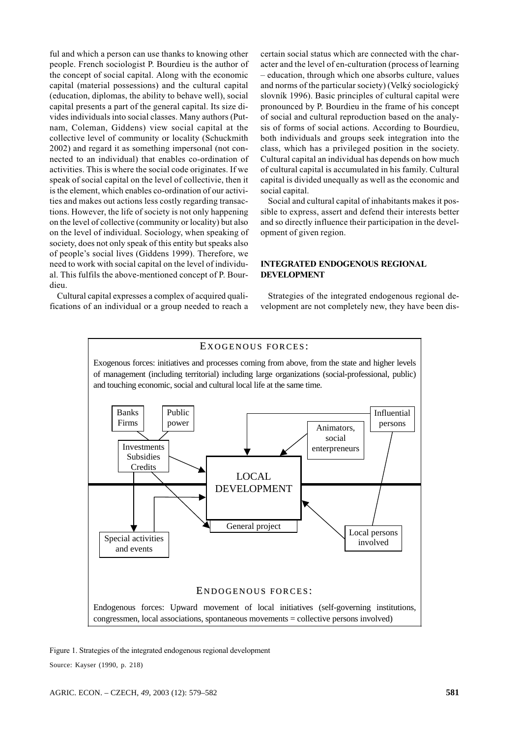ful and which a person can use thanks to knowing other people. French sociologist P. Bourdieu is the author of the concept of social capital. Along with the economic capital (material possessions) and the cultural capital (education, diplomas, the ability to behave well), social capital presents a part of the general capital. Its size divides individuals into social classes. Many authors (Putnam, Coleman, Giddens) view social capital at the collective level of community or locality (Schuckmith 2002) and regard it as something impersonal (not connected to an individual) that enables co-ordination of activities. This is where the social code originates. If we speak of social capital on the level of collectivie, then it is the element, which enables co-ordination of our activities and makes out actions less costly regarding transactions. However, the life of society is not only happening on the level of collective (community or locality) but also on the level of individual. Sociology, when speaking of society, does not only speak of this entity but speaks also of people's social lives (Giddens 1999). Therefore, we need to work with social capital on the level of individual. This fulfils the above-mentioned concept of P. Bourdieu.

Cultural capital expresses a complex of acquired qualifications of an individual or a group needed to reach a certain social status which are connected with the character and the level of en-culturation (process of learning – education, through which one absorbs culture, values and norms of the particular society) (Velký sociologický slovník 1996). Basic principles of cultural capital were pronounced by P. Bourdieu in the frame of his concept of social and cultural reproduction based on the analysis of forms of social actions. According to Bourdieu, both individuals and groups seek integration into the class, which has a privileged position in the society. Cultural capital an individual has depends on how much of cultural capital is accumulated in his family. Cultural capital is divided unequally as well as the economic and social capital.

Social and cultural capital of inhabitants makes it possible to express, assert and defend their interests better and so directly influence their participation in the development of given region.

## **INTEGRATED ENDOGENOUS REGIONAL** DEVELOPMENT

Strategies of the integrated endogenous regional development are not completely new, they have been dis-



Figure 1. Strategies of the integrated endogenous regional development

Source: Kayser (1990, p. 218)